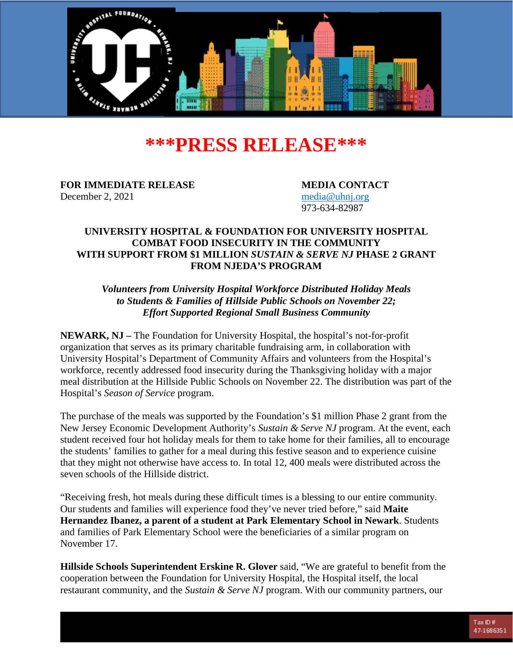

# **\*\*\*PRESS RELEASE\*\*\***

**FOR IMMEDIATE RELEASE MEDIA CONTACT** December 2, 2021 [media@uhnj.org](mailto:media@uhnj.org)

973-634-82987

## **UNIVERSITY HOSPITAL & FOUNDATION FOR UNIVERSITY HOSPITAL COMBAT FOOD INSECURITY IN THE COMMUNITY WITH SUPPORT FROM \$1 MILLION** *SUSTAIN & SERVE NJ* **PHASE 2 GRANT FROM NJEDA'S PROGRAM**

*Volunteers from University Hospital Workforce Distributed Holiday Meals to Students & Families of Hillside Public Schools on November 22; Effort Supported Regional Small Business Community*

**NEWARK, NJ –** The Foundation for University Hospital, the hospital's not-for-profit organization that serves as its primary charitable fundraising arm, in collaboration with University Hospital's Department of Community Affairs and volunteers from the Hospital's workforce, recently addressed food insecurity during the Thanksgiving holiday with a major meal distribution at the Hillside Public Schools on November 22. The distribution was part of the Hospital's *Season of Service* program.

The purchase of the meals was supported by the Foundation's \$1 million Phase 2 grant from the New Jersey Economic Development Authority's *Sustain & Serve NJ* program. At the event, each student received four hot holiday meals for them to take home for their families, all to encourage the students' families to gather for a meal during this festive season and to experience cuisine that they might not otherwise have access to. In total 12, 400 meals were distributed across the seven schools of the Hillside district.

"Receiving fresh, hot meals during these difficult times is a blessing to our entire community. Our students and families will experience food they've never tried before," said **Maite Hernandez Ibanez, a parent of a student at Park Elementary School in Newark**. Students and families of Park Elementary School were the beneficiaries of a similar program on November 17.

**Hillside Schools Superintendent Erskine R. Glover** said, "We are grateful to benefit from the cooperation between the Foundation for University Hospital, the Hospital itself, the local restaurant community, and the *Sustain & Serve NJ* program. With our community partners, our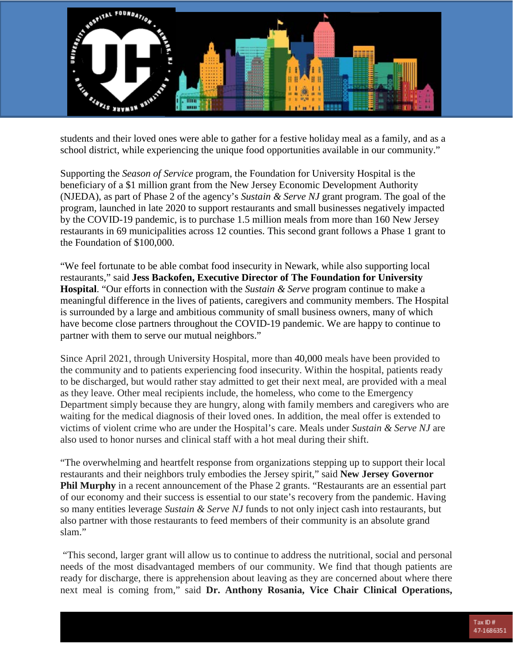

students and their loved ones were able to gather for a festive holiday meal as a family, and as a school district, while experiencing the unique food opportunities available in our community."

Supporting the *Season of Service* program, the Foundation for University Hospital is the beneficiary of a \$1 million grant from the New Jersey Economic Development Authority (NJEDA), as part of Phase 2 of the agency's *Sustain & Serve NJ* grant program. The goal of the program, launched in late 2020 to support restaurants and small businesses negatively impacted by the COVID-19 pandemic, is to purchase 1.5 million meals from more than 160 New Jersey restaurants in 69 municipalities across 12 counties. This second grant follows a Phase 1 grant to the Foundation of \$100,000.

"We feel fortunate to be able combat food insecurity in Newark, while also supporting local restaurants," said **Jess Backofen, Executive Director of The Foundation for University Hospital**. "Our efforts in connection with the *Sustain & Serve* program continue to make a meaningful difference in the lives of patients, caregivers and community members. The Hospital is surrounded by a large and ambitious community of small business owners, many of which have become close partners throughout the COVID-19 pandemic. We are happy to continue to partner with them to serve our mutual neighbors."

Since April 2021, through University Hospital, more than 40,000 meals have been provided to the community and to patients experiencing food insecurity. Within the hospital, patients ready to be discharged, but would rather stay admitted to get their next meal, are provided with a meal as they leave. Other meal recipients include, the homeless, who come to the Emergency Department simply because they are hungry, along with family members and caregivers who are waiting for the medical diagnosis of their loved ones. In addition, the meal offer is extended to victims of violent crime who are under the Hospital's care. Meals under *Sustain & Serve NJ* are also used to honor nurses and clinical staff with a hot meal during their shift.

"The overwhelming and heartfelt response from organizations stepping up to support their local restaurants and their neighbors truly embodies the Jersey spirit," said **New Jersey Governor Phil Murphy** in a recent announcement of the Phase 2 grants. "Restaurants are an essential part of our economy and their success is essential to our state's recovery from the pandemic. Having so many entities leverage *Sustain & Serve NJ* funds to not only inject cash into restaurants, but also partner with those restaurants to feed members of their community is an absolute grand slam."

"This second, larger grant will allow us to continue to address the nutritional, social and personal needs of the most disadvantaged members of our community. We find that though patients are ready for discharge, there is apprehension about leaving as they are concerned about where there next meal is coming from," said **Dr. Anthony Rosania, Vice Chair Clinical Operations,**